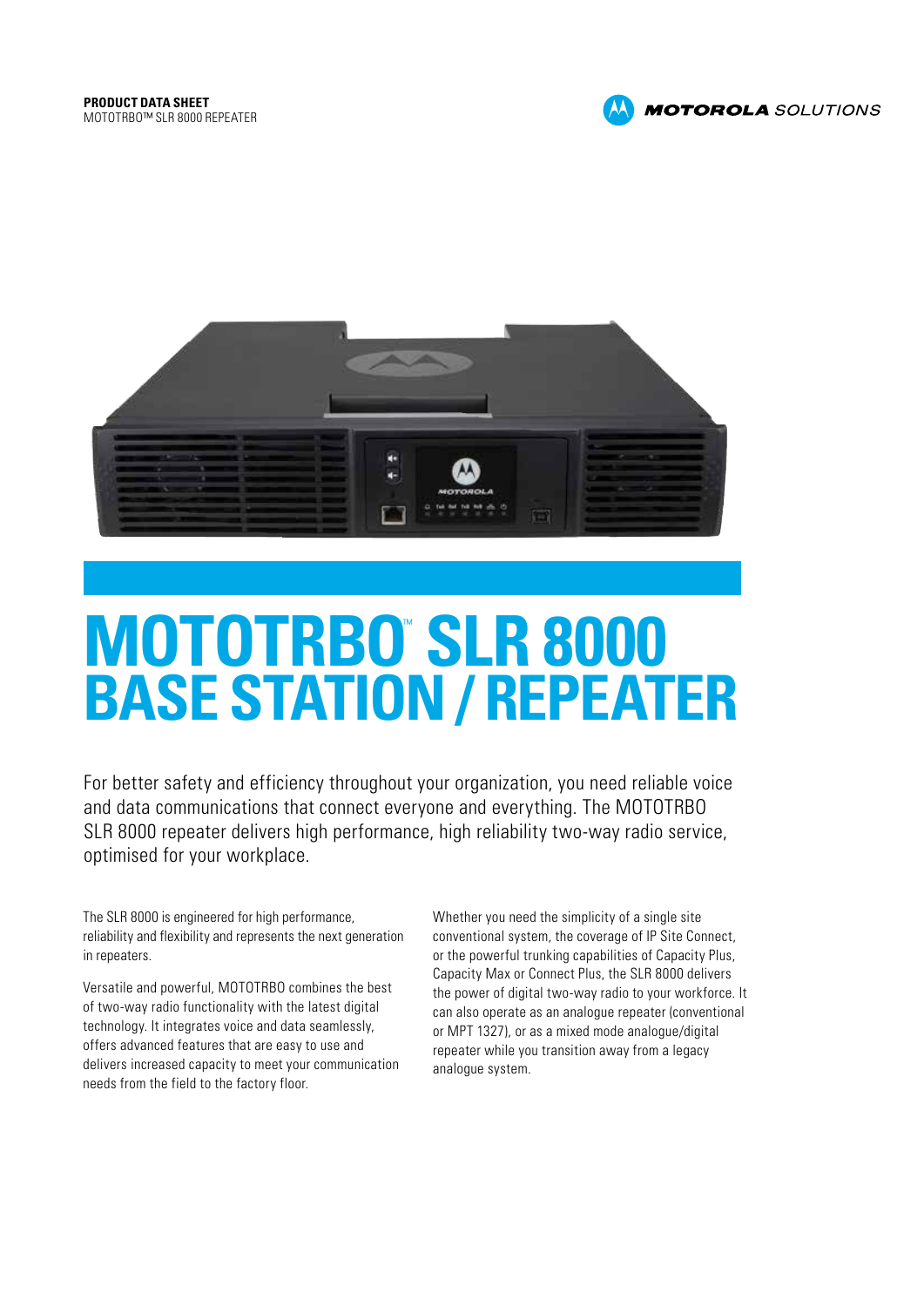



# **MOTOTRBO SLR 8000 BASE STATION / REPEATER**

For better safety and efficiency throughout your organization, you need reliable voice and data communications that connect everyone and everything. The MOTOTRBO SLR 8000 repeater delivers high performance, high reliability two-way radio service, optimised for your workplace.

The SLR 8000 is engineered for high performance, reliability and flexibility and represents the next generation in repeaters.

Versatile and powerful, MOTOTRBO combines the best of two-way radio functionality with the latest digital technology. It integrates voice and data seamlessly, offers advanced features that are easy to use and delivers increased capacity to meet your communication needs from the field to the factory floor.

Whether you need the simplicity of a single site conventional system, the coverage of IP Site Connect, or the powerful trunking capabilities of Capacity Plus, Capacity Max or Connect Plus, the SLR 8000 delivers the power of digital two-way radio to your workforce. It can also operate as an analogue repeater (conventional or MPT 1327), or as a mixed mode analogue/digital repeater while you transition away from a legacy analogue system.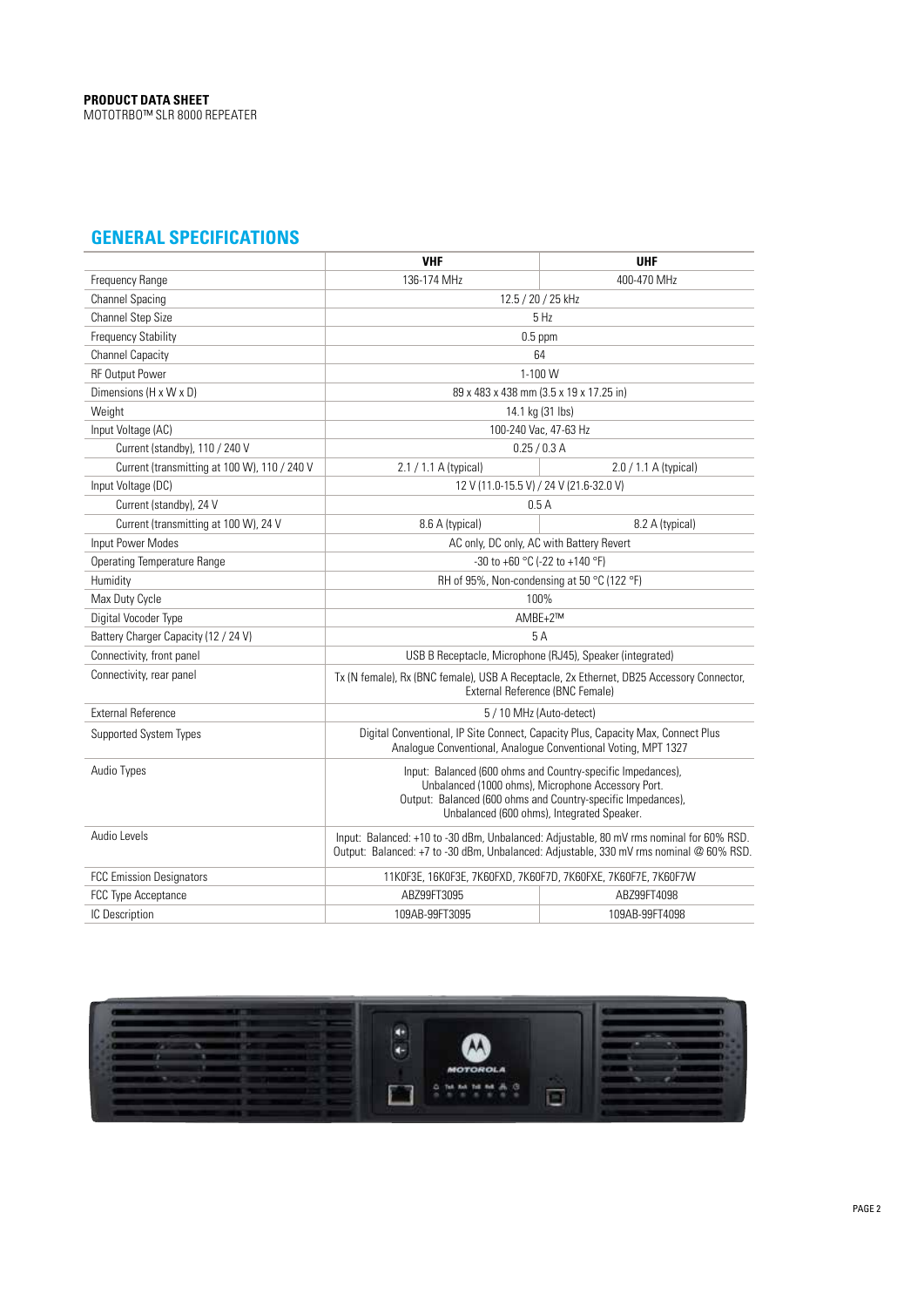# **GENERAL SPECIFICATIONS**

|                                              | <b>VHF</b>                                                                                                                                                                                                                      | <b>UHF</b>            |
|----------------------------------------------|---------------------------------------------------------------------------------------------------------------------------------------------------------------------------------------------------------------------------------|-----------------------|
| Frequency Range                              | 136-174 MHz                                                                                                                                                                                                                     | 400-470 MHz           |
| <b>Channel Spacing</b>                       | 12.5 / 20 / 25 kHz                                                                                                                                                                                                              |                       |
| Channel Step Size                            |                                                                                                                                                                                                                                 | 5 Hz                  |
| <b>Frequency Stability</b>                   | $0.5$ ppm                                                                                                                                                                                                                       |                       |
| <b>Channel Capacity</b>                      | 64                                                                                                                                                                                                                              |                       |
| <b>RF Output Power</b>                       | 1-100 W                                                                                                                                                                                                                         |                       |
| Dimensions (H x W x D)                       | 89 x 483 x 438 mm (3.5 x 19 x 17.25 in)                                                                                                                                                                                         |                       |
| Weight                                       | 14.1 kg (31 lbs)                                                                                                                                                                                                                |                       |
| Input Voltage (AC)                           |                                                                                                                                                                                                                                 | 100-240 Vac, 47-63 Hz |
| Current (standby), 110 / 240 V               | 0.25 / 0.3 A                                                                                                                                                                                                                    |                       |
| Current (transmitting at 100 W), 110 / 240 V | 2.1 / 1.1 A (typical)                                                                                                                                                                                                           | 2.0 / 1.1 A (typical) |
| Input Voltage (DC)                           | 12 V (11.0-15.5 V) / 24 V (21.6-32.0 V)                                                                                                                                                                                         |                       |
| Current (standby), 24 V                      | 0.5A                                                                                                                                                                                                                            |                       |
| Current (transmitting at 100 W), 24 V        | 8.6 A (typical)                                                                                                                                                                                                                 | 8.2 A (typical)       |
| Input Power Modes                            | AC only, DC only, AC with Battery Revert                                                                                                                                                                                        |                       |
| <b>Operating Temperature Range</b>           | -30 to +60 °C (-22 to +140 °F)                                                                                                                                                                                                  |                       |
| Humidity                                     | RH of 95%, Non-condensing at 50 °C (122 °F)                                                                                                                                                                                     |                       |
| Max Duty Cycle                               | 100%                                                                                                                                                                                                                            |                       |
| Digital Vocoder Type                         | $AMBE+2^{TM}$                                                                                                                                                                                                                   |                       |
| Battery Charger Capacity (12 / 24 V)         | 5 A                                                                                                                                                                                                                             |                       |
| Connectivity, front panel                    | USB B Receptacle, Microphone (RJ45), Speaker (integrated)                                                                                                                                                                       |                       |
| Connectivity, rear panel                     | Tx (N female), Rx (BNC female), USB A Receptacle, 2x Ethernet, DB25 Accessory Connector,<br>External Reference (BNC Female)                                                                                                     |                       |
| <b>External Reference</b>                    | 5 / 10 MHz (Auto-detect)                                                                                                                                                                                                        |                       |
| <b>Supported System Types</b>                | Digital Conventional, IP Site Connect, Capacity Plus, Capacity Max, Connect Plus<br>Analogue Conventional, Analogue Conventional Voting, MPT 1327                                                                               |                       |
| Audio Types                                  | Input: Balanced (600 ohms and Country-specific Impedances),<br>Unbalanced (1000 ohms), Microphone Accessory Port.<br>Output: Balanced (600 ohms and Country-specific Impedances),<br>Unbalanced (600 ohms), Integrated Speaker. |                       |
| Audio Levels                                 | Input: Balanced: +10 to -30 dBm, Unbalanced: Adjustable, 80 mV rms nominal for 60% RSD.<br>Output: Balanced: +7 to -30 dBm, Unbalanced: Adjustable, 330 mV rms nominal @ 60% RSD.                                               |                       |
| <b>FCC Emission Designators</b>              | 11KOF3E, 16KOF3E, 7K6OFXD, 7K6OF7D, 7K6OFXE, 7K6OF7E, 7K6OF7W                                                                                                                                                                   |                       |
| FCC Type Acceptance                          | ABZ99FT3095                                                                                                                                                                                                                     | ABZ99FT4098           |
| IC Description                               | 109AB-99FT3095                                                                                                                                                                                                                  | 109AB-99FT4098        |

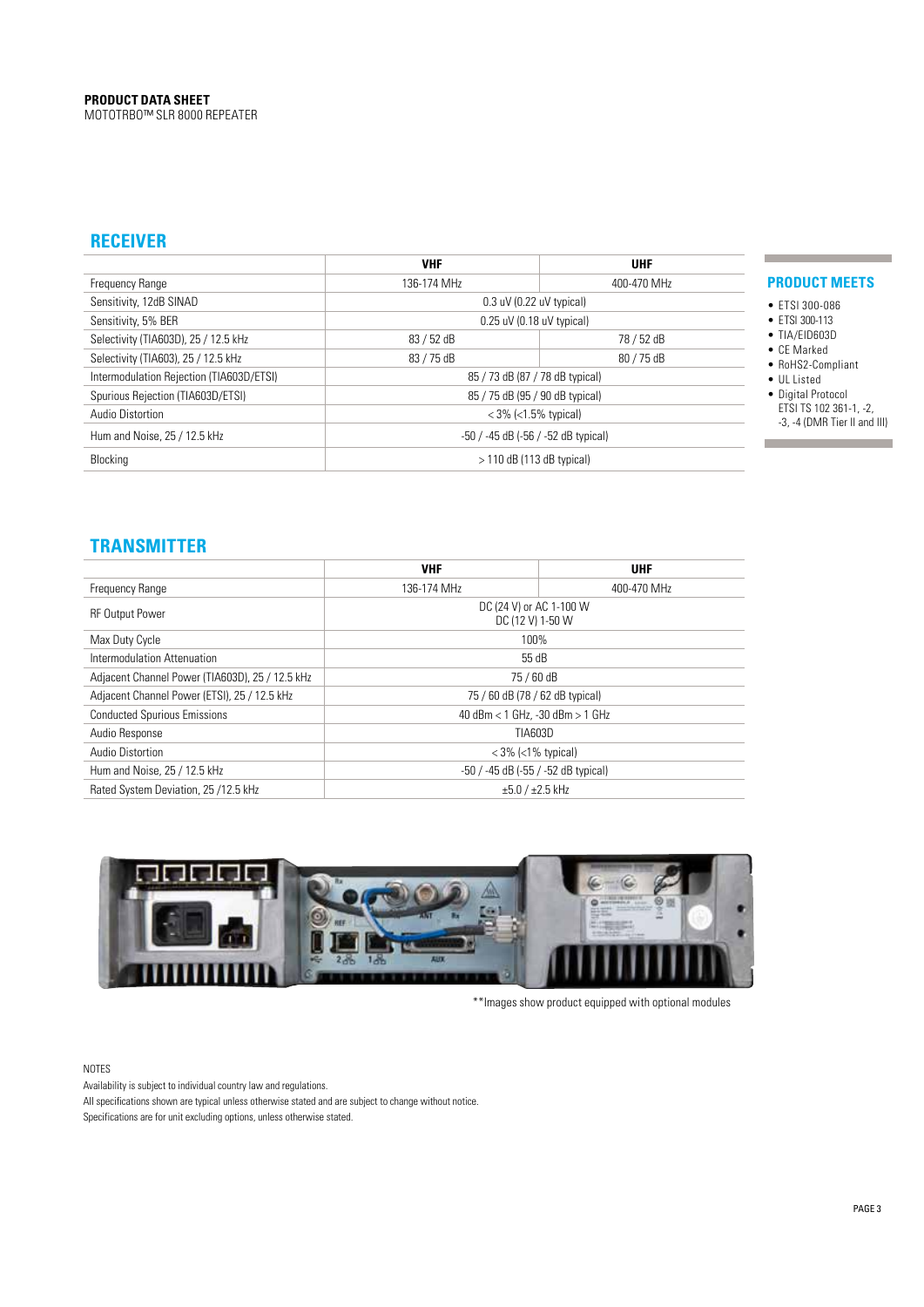## **RECEIVER**

|                                          | <b>VHF</b>                          | <b>UHF</b>                 |  |
|------------------------------------------|-------------------------------------|----------------------------|--|
| Frequency Range                          | 136-174 MHz                         | 400-470 MHz                |  |
| Sensitivity, 12dB SINAD                  |                                     | $0.3$ uV (0.22 uV typical) |  |
| Sensitivity, 5% BER                      | $0.25$ uV (0.18 uV typical)         |                            |  |
| Selectivity (TIA603D), 25 / 12.5 kHz     | 83 / 52 dB                          | 78 / 52 dB                 |  |
| Selectivity (TIA603), 25 / 12.5 kHz      | 83 / 75 dB                          | 80 / 75 dB                 |  |
| Intermodulation Rejection (TIA603D/ETSI) | 85 / 73 dB (87 / 78 dB typical)     |                            |  |
| Spurious Rejection (TIA603D/ETSI)        | 85 / 75 dB (95 / 90 dB typical)     |                            |  |
| Audio Distortion                         | $<$ 3% ( $<$ 1.5% typical)          |                            |  |
| Hum and Noise, 25 / 12.5 kHz             | -50 / -45 dB (-56 / -52 dB typical) |                            |  |
| Blocking                                 | $>$ 110 dB (113 dB typical)         |                            |  |

#### **PRODUCT MEETS**

• ETSI 300-086

п

л

- ETSI 300-113 • TIA/EID603D
- CE Marked
- RoHS2-Compliant
- UL Listed
- Digital Protocol ETSI TS 102 361-1, -2, -3, -4 (DMR Tier II and III)

## **TRANSMITTER**

|                                                 | <b>VHF</b>                                   | <b>UHF</b>  |  |
|-------------------------------------------------|----------------------------------------------|-------------|--|
| Frequency Range                                 | 136-174 MHz                                  | 400-470 MHz |  |
| <b>RF Output Power</b>                          | DC (24 V) or AC 1-100 W<br>DC (12 V) 1-50 W  |             |  |
| Max Duty Cycle                                  | 100%                                         |             |  |
| Intermodulation Attenuation                     | 55 dB                                        |             |  |
| Adjacent Channel Power (TIA603D), 25 / 12.5 kHz | 75 / 60 dB                                   |             |  |
| Adjacent Channel Power (ETSI), 25 / 12.5 kHz    | 75 / 60 dB (78 / 62 dB typical)              |             |  |
| <b>Conducted Spurious Emissions</b>             | 40 dBm < 1 GHz, -30 dBm > 1 GHz              |             |  |
| Audio Response                                  | TIA603D                                      |             |  |
| Audio Distortion                                | $<$ 3% ( $<$ 1% typical)                     |             |  |
| Hum and Noise, 25 / 12.5 kHz                    | $-50$ / $-45$ dB ( $-55$ / $-52$ dB typical) |             |  |
| Rated System Deviation, 25 /12.5 kHz            | $\pm 5.0 / \pm 2.5$ kHz                      |             |  |



\*\*Images show product equipped with optional modules

#### NOTES

Availability is subject to individual country law and regulations. All specifications shown are typical unless otherwise stated and are subject to change without notice. Specifications are for unit excluding options, unless otherwise stated.